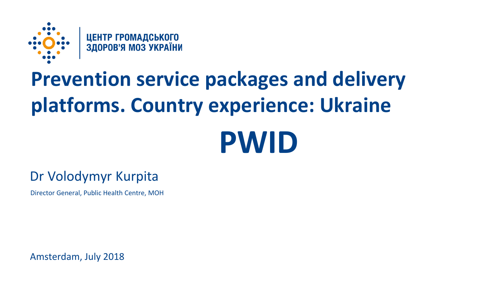

# **Prevention service packages and delivery platforms. Country experience: Ukraine**

# **PWID**

## Dr Volodymyr Kurpita

Director General, Public Health Centre, MOH

Amsterdam, July 2018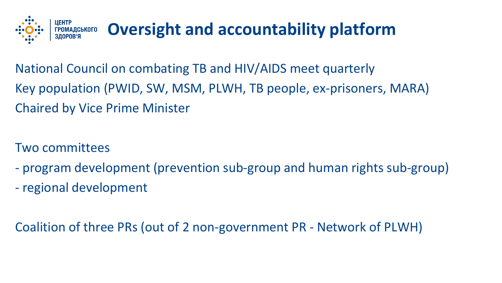

National Council on combating TB and HIV/AIDS meet quarterly Key population (PWID, SW, MSM, PLWH, TB people, ex-prisoners, MARA) Chaired by Vice Prime Minister

- Two committees
- program development (prevention sub-group and human rights sub-group)
- regional development

Coalition of three PRs (out of 2 non-government PR - Network of PLWH)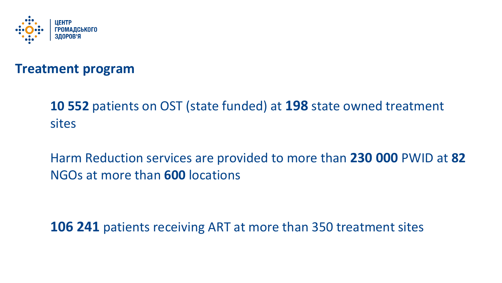

### **Treatment program**

## **10 552** patients on OST (state funded) at **198** state owned treatment sites

Harm Reduction services are provided to more than **230 000** PWID at **82** NGOs at more than **600** locations

**106 241** patients receiving ART at more than 350 treatment sites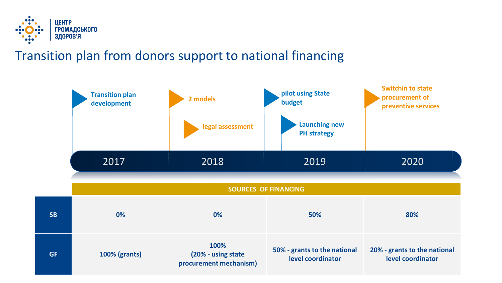

## Transition plan from donors support to national financing

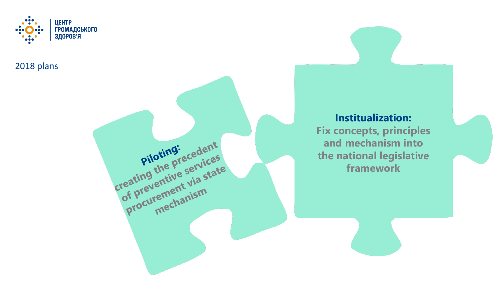

Piloting:<br>Piloting<br>the precedent<br>creating the precedent<br>of preventive services<br>of preventive state<br>procurement via state

revernent view<br>curement view

2018 plans

#### **Institualization: Fix concepts, principles and mechanism into the national legislative framework**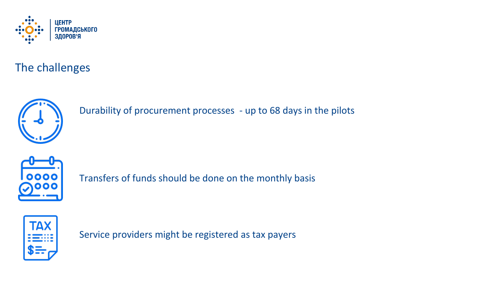

The challenges



Durability of procurement processes - up to 68 days in the pilots



Transfers of funds should be done on the monthly basis



Service providers might be registered as tax payers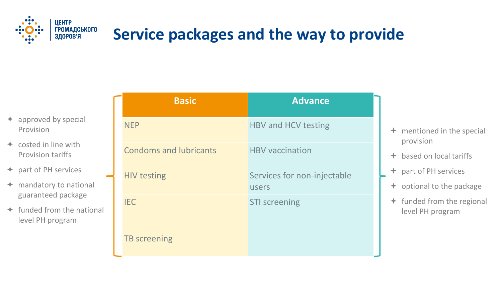

# **Service packages and the way to provide**

- $\div$  approved by special Provision
- $\div$  costed in line with Provision tariffs
- **← part of PH services**
- $+$  mandatory to national guaranteed package
- $\div$  funded from the national level PH program

| <b>Basic</b>                  | <b>Advance</b>                       |
|-------------------------------|--------------------------------------|
| <b>NEP</b>                    | <b>HBV and HCV testing</b>           |
| <b>Condoms and lubricants</b> | <b>HBV</b> vaccination               |
| <b>HIV testing</b>            | Services for non-injectable<br>users |
| <b>IEC</b>                    | <b>STI screening</b>                 |
| <b>TB</b> screening           |                                      |

- $+$  mentioned in the special provision
- based on local tariffs
- part of PH services
- $\div$  optional to the package
- $+$  funded from the regional level PH program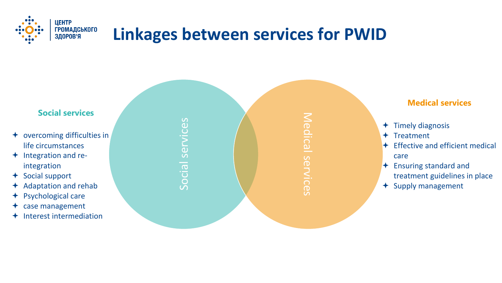

# **Linkages between services for PWID**

Social services

Social

services

#### **Social services**

- overcoming difficulties in life circumstances
- $+$  Integration and reintegration
- + Social support
- Adaptation and rehab
- + Psychological care
- $\triangleleft$  case management
- $+$  Interest intermediation

Medical services Medical services

#### **Medical services**

- $+$  Timely diagnosis
- $+$  Treatment
- $\div$  Effective and efficient medical care
- $\div$  Ensuring standard and treatment guidelines in place
- $+$  Supply management